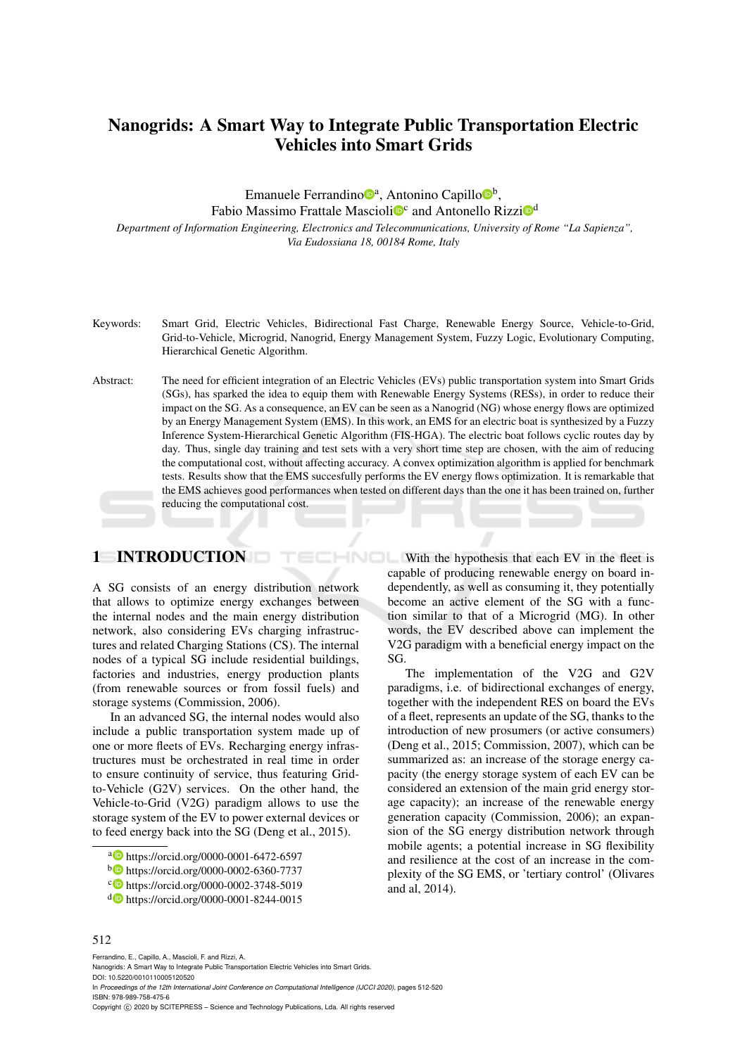# Nanogrids: A Smart Way to Integrate Public Transportation Electric Vehicles into Smart Grids

Emanuele Ferrandino<sup>®</sup>, Antonino Capillo<sup>®</sup>,

Fabio Massimo Frattale Mascioli<sup>oc</sup> and Antonello Rizzi<sup>od</sup>

*Department of Information Engineering, Electronics and Telecommunications, University of Rome "La Sapienza", Via Eudossiana 18, 00184 Rome, Italy*

- Keywords: Smart Grid, Electric Vehicles, Bidirectional Fast Charge, Renewable Energy Source, Vehicle-to-Grid, Grid-to-Vehicle, Microgrid, Nanogrid, Energy Management System, Fuzzy Logic, Evolutionary Computing, Hierarchical Genetic Algorithm.
- Abstract: The need for efficient integration of an Electric Vehicles (EVs) public transportation system into Smart Grids (SGs), has sparked the idea to equip them with Renewable Energy Systems (RESs), in order to reduce their impact on the SG. As a consequence, an EV can be seen as a Nanogrid (NG) whose energy flows are optimized by an Energy Management System (EMS). In this work, an EMS for an electric boat is synthesized by a Fuzzy Inference System-Hierarchical Genetic Algorithm (FIS-HGA). The electric boat follows cyclic routes day by day. Thus, single day training and test sets with a very short time step are chosen, with the aim of reducing the computational cost, without affecting accuracy. A convex optimization algorithm is applied for benchmark tests. Results show that the EMS succesfully performs the EV energy flows optimization. It is remarkable that the EMS achieves good performances when tested on different days than the one it has been trained on, further reducing the computational cost.

## 1 INTRODUCTION

A SG consists of an energy distribution network that allows to optimize energy exchanges between the internal nodes and the main energy distribution network, also considering EVs charging infrastructures and related Charging Stations (CS). The internal nodes of a typical SG include residential buildings, factories and industries, energy production plants (from renewable sources or from fossil fuels) and storage systems (Commission, 2006).

In an advanced SG, the internal nodes would also include a public transportation system made up of one or more fleets of EVs. Recharging energy infrastructures must be orchestrated in real time in order to ensure continuity of service, thus featuring Gridto-Vehicle (G2V) services. On the other hand, the Vehicle-to-Grid (V2G) paradigm allows to use the storage system of the EV to power external devices or to feed energy back into the SG (Deng et al., 2015).

HNOL With the hypothesis that each EV in the fleet is capable of producing renewable energy on board independently, as well as consuming it, they potentially become an active element of the SG with a function similar to that of a Microgrid (MG). In other words, the EV described above can implement the V2G paradigm with a beneficial energy impact on the SG.

> The implementation of the V2G and G2V paradigms, i.e. of bidirectional exchanges of energy, together with the independent RES on board the EVs of a fleet, represents an update of the SG, thanks to the introduction of new prosumers (or active consumers) (Deng et al., 2015; Commission, 2007), which can be summarized as: an increase of the storage energy capacity (the energy storage system of each EV can be considered an extension of the main grid energy storage capacity); an increase of the renewable energy generation capacity (Commission, 2006); an expansion of the SG energy distribution network through mobile agents; a potential increase in SG flexibility and resilience at the cost of an increase in the complexity of the SG EMS, or 'tertiary control' (Olivares and al, 2014).

#### 512

Ferrandino, E., Capillo, A., Mascioli, F. and Rizzi, A. Nanogrids: A Smart Way to Integrate Public Transportation Electric Vehicles into Smart Grids. DOI: 10.5220/0010110005120520 In *Proceedings of the 12th International Joint Conference on Computational Intelligence (IJCCI 2020)*, pages 512-520 ISBN: 978-989-758-475-6

Copyright © 2020 by SCITEPRESS - Science and Technology Publications, Lda. All rights reserved

<sup>a</sup> https://orcid.org/0000-0001-6472-6597

<sup>b</sup> https://orcid.org/0000-0002-6360-7737

c https://orcid.org/0000-0002-3748-5019

<sup>d</sup> https://orcid.org/0000-0001-8244-0015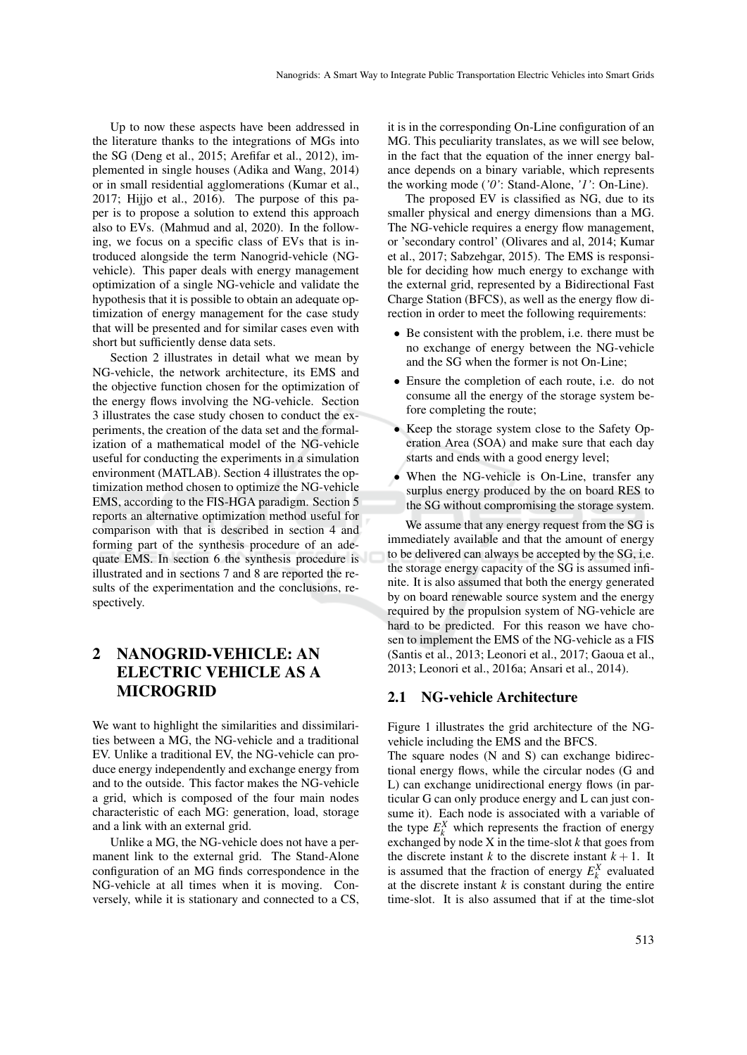Up to now these aspects have been addressed in the literature thanks to the integrations of MGs into the SG (Deng et al., 2015; Arefifar et al., 2012), implemented in single houses (Adika and Wang, 2014) or in small residential agglomerations (Kumar et al., 2017; Hijjo et al., 2016). The purpose of this paper is to propose a solution to extend this approach also to EVs. (Mahmud and al, 2020). In the following, we focus on a specific class of EVs that is introduced alongside the term Nanogrid-vehicle (NGvehicle). This paper deals with energy management optimization of a single NG-vehicle and validate the hypothesis that it is possible to obtain an adequate optimization of energy management for the case study that will be presented and for similar cases even with short but sufficiently dense data sets.

Section 2 illustrates in detail what we mean by NG-vehicle, the network architecture, its EMS and the objective function chosen for the optimization of the energy flows involving the NG-vehicle. Section 3 illustrates the case study chosen to conduct the experiments, the creation of the data set and the formalization of a mathematical model of the NG-vehicle useful for conducting the experiments in a simulation environment (MATLAB). Section 4 illustrates the optimization method chosen to optimize the NG-vehicle EMS, according to the FIS-HGA paradigm. Section 5 reports an alternative optimization method useful for comparison with that is described in section 4 and forming part of the synthesis procedure of an adequate EMS. In section 6 the synthesis procedure is illustrated and in sections 7 and 8 are reported the results of the experimentation and the conclusions, respectively.

# 2 NANOGRID-VEHICLE: AN ELECTRIC VEHICLE AS A MICROGRID

We want to highlight the similarities and dissimilarities between a MG, the NG-vehicle and a traditional EV. Unlike a traditional EV, the NG-vehicle can produce energy independently and exchange energy from and to the outside. This factor makes the NG-vehicle a grid, which is composed of the four main nodes characteristic of each MG: generation, load, storage and a link with an external grid.

Unlike a MG, the NG-vehicle does not have a permanent link to the external grid. The Stand-Alone configuration of an MG finds correspondence in the NG-vehicle at all times when it is moving. Conversely, while it is stationary and connected to a CS,

it is in the corresponding On-Line configuration of an MG. This peculiarity translates, as we will see below, in the fact that the equation of the inner energy balance depends on a binary variable, which represents the working mode (*'0'*: Stand-Alone, *'1'*: On-Line).

The proposed EV is classified as NG, due to its smaller physical and energy dimensions than a MG. The NG-vehicle requires a energy flow management, or 'secondary control' (Olivares and al, 2014; Kumar et al., 2017; Sabzehgar, 2015). The EMS is responsible for deciding how much energy to exchange with the external grid, represented by a Bidirectional Fast Charge Station (BFCS), as well as the energy flow direction in order to meet the following requirements:

- Be consistent with the problem, i.e. there must be no exchange of energy between the NG-vehicle and the SG when the former is not On-Line;
- Ensure the completion of each route, i.e. do not consume all the energy of the storage system before completing the route;
- Keep the storage system close to the Safety Operation Area (SOA) and make sure that each day starts and ends with a good energy level;
- When the NG-vehicle is On-Line, transfer any surplus energy produced by the on board RES to the SG without compromising the storage system.

We assume that any energy request from the SG is immediately available and that the amount of energy to be delivered can always be accepted by the SG, i.e. the storage energy capacity of the SG is assumed infinite. It is also assumed that both the energy generated by on board renewable source system and the energy required by the propulsion system of NG-vehicle are hard to be predicted. For this reason we have chosen to implement the EMS of the NG-vehicle as a FIS (Santis et al., 2013; Leonori et al., 2017; Gaoua et al., 2013; Leonori et al., 2016a; Ansari et al., 2014).

### 2.1 NG-vehicle Architecture

Figure 1 illustrates the grid architecture of the NGvehicle including the EMS and the BFCS.

The square nodes (N and S) can exchange bidirectional energy flows, while the circular nodes (G and L) can exchange unidirectional energy flows (in particular G can only produce energy and L can just consume it). Each node is associated with a variable of the type  $E_k^X$  which represents the fraction of energy exchanged by node X in the time-slot *k* that goes from the discrete instant *k* to the discrete instant  $k + 1$ . It is assumed that the fraction of energy  $E_k^X$  evaluated at the discrete instant *k* is constant during the entire time-slot. It is also assumed that if at the time-slot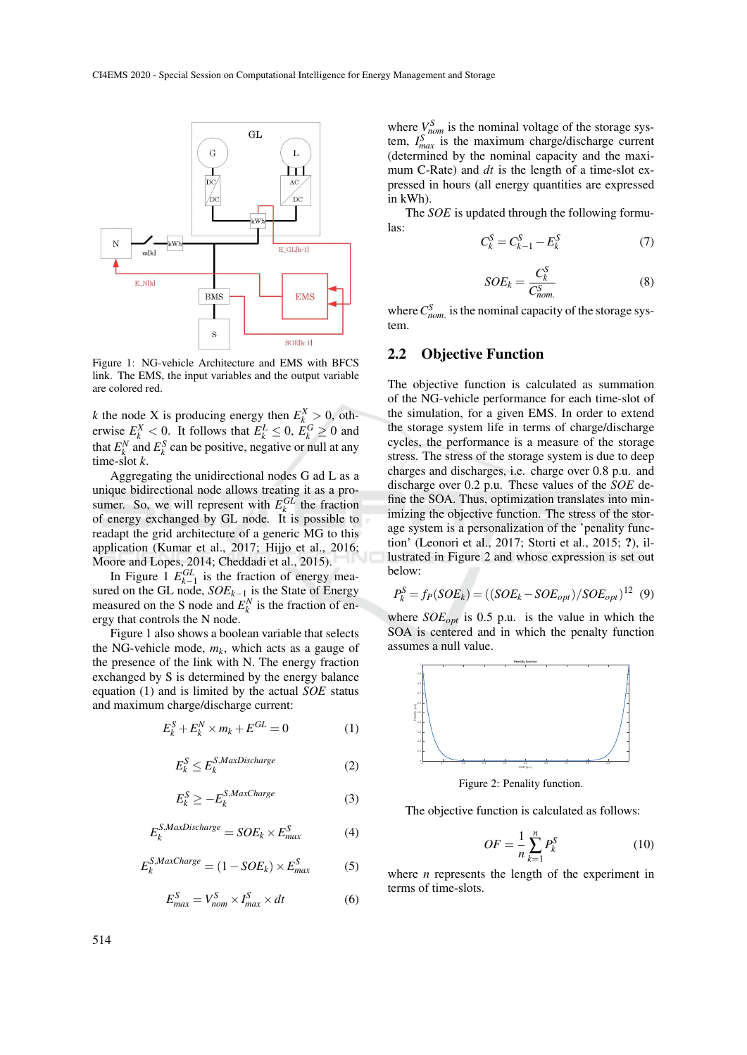

Figure 1: NG-vehicle Architecture and EMS with BFCS link. The EMS, the input variables and the output variable are colored red.

*k* the node X is producing energy then  $E_k^X > 0$ , otherwise  $E_k^X < 0$ . It follows that  $E_k^L \leq 0$ ,  $E_k^G \geq 0$  and that  $E_k^N$  and  $E_k^S$  can be positive, negative or null at any time-slot *k*.

Aggregating the unidirectional nodes G ad L as a unique bidirectional node allows treating it as a prosumer. So, we will represent with  $E_k^{GL}$  the fraction of energy exchanged by GL node. It is possible to readapt the grid architecture of a generic MG to this application (Kumar et al., 2017; Hijjo et al., 2016; Moore and Lopes, 2014; Cheddadi et al., 2015).

In Figure 1  $E_{k-1}^{GL}$  is the fraction of energy measured on the GL node, *SOEk*−<sup>1</sup> is the State of Energy measured on the S node and  $E_k^N$  is the fraction of energy that controls the N node.

Figure 1 also shows a boolean variable that selects the NG-vehicle mode,  $m_k$ , which acts as a gauge of the presence of the link with N. The energy fraction exchanged by S is determined by the energy balance equation (1) and is limited by the actual *SOE* status and maximum charge/discharge current:

$$
E_k^S + E_k^N \times m_k + E^{GL} = 0 \tag{1}
$$

$$
E_k^S \le E_k^{S,MaxDischarge} \tag{2}
$$

$$
E_k^S \ge -E_k^{S,MaxChange} \tag{3}
$$

$$
E_k^{S,MaxDischarge} = SOE_k \times E_{max}^S \tag{4}
$$

$$
E_k^{S,Maxcharge} = (1 - SOE_k) \times E_{max}^S \tag{5}
$$

$$
E_{max}^S = V_{nom}^S \times I_{max}^S \times dt
$$
 (6)

where  $V_{\text{nom}}^S$  is the nominal voltage of the storage system,  $I_{max}^{S}$  is the maximum charge/discharge current (determined by the nominal capacity and the maximum C-Rate) and *dt* is the length of a time-slot expressed in hours (all energy quantities are expressed in kWh).

The *SOE* is updated through the following formulas:

$$
C_k^S = C_{k-1}^S - E_k^S \tag{7}
$$

$$
SOE_k = \frac{C_k^S}{C_{nom.}^S} \tag{8}
$$

where  $C_{nom.}^S$  is the nominal capacity of the storage system.

#### 2.2 Objective Function

The objective function is calculated as summation of the NG-vehicle performance for each time-slot of the simulation, for a given EMS. In order to extend the storage system life in terms of charge/discharge cycles, the performance is a measure of the storage stress. The stress of the storage system is due to deep charges and discharges, i.e. charge over 0.8 p.u. and discharge over 0.2 p.u. These values of the *SOE* define the SOA. Thus, optimization translates into minimizing the objective function. The stress of the storage system is a personalization of the 'penality function' (Leonori et al., 2017; Storti et al., 2015; ?), illustrated in Figure 2 and whose expression is set out below:

$$
P_k^S = f_P(SOE_k) = ((SOE_k - SOE_{opt})/SOE_{opt})^{12} (9)
$$

where *SOEopt* is 0.5 p.u. is the value in which the SOA is centered and in which the penalty function assumes a null value.



Figure 2: Penality function.

The objective function is calculated as follows:

$$
OF = \frac{1}{n} \sum_{k=1}^{n} P_k^S
$$
 (10)

where *n* represents the length of the experiment in terms of time-slots.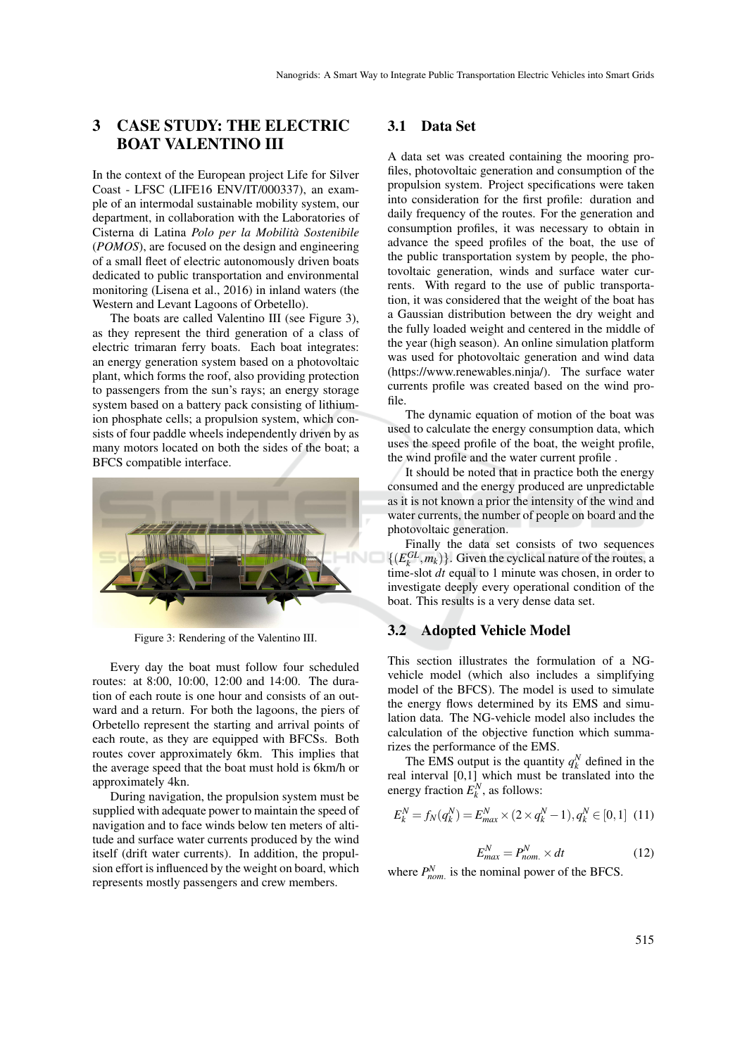## 3 CASE STUDY: THE ELECTRIC BOAT VALENTINO III

In the context of the European project Life for Silver Coast - LFSC (LIFE16 ENV/IT/000337), an example of an intermodal sustainable mobility system, our department, in collaboration with the Laboratories of Cisterna di Latina *Polo per la Mobilita Sostenibile `* (*POMOS*), are focused on the design and engineering of a small fleet of electric autonomously driven boats dedicated to public transportation and environmental monitoring (Lisena et al., 2016) in inland waters (the Western and Levant Lagoons of Orbetello).

The boats are called Valentino III (see Figure 3), as they represent the third generation of a class of electric trimaran ferry boats. Each boat integrates: an energy generation system based on a photovoltaic plant, which forms the roof, also providing protection to passengers from the sun's rays; an energy storage system based on a battery pack consisting of lithiumion phosphate cells; a propulsion system, which consists of four paddle wheels independently driven by as many motors located on both the sides of the boat; a BFCS compatible interface.



Figure 3: Rendering of the Valentino III.

Every day the boat must follow four scheduled routes: at 8:00, 10:00, 12:00 and 14:00. The duration of each route is one hour and consists of an outward and a return. For both the lagoons, the piers of Orbetello represent the starting and arrival points of each route, as they are equipped with BFCSs. Both routes cover approximately 6km. This implies that the average speed that the boat must hold is 6km/h or approximately 4kn.

During navigation, the propulsion system must be supplied with adequate power to maintain the speed of navigation and to face winds below ten meters of altitude and surface water currents produced by the wind itself (drift water currents). In addition, the propulsion effort is influenced by the weight on board, which represents mostly passengers and crew members.

#### 3.1 Data Set

A data set was created containing the mooring profiles, photovoltaic generation and consumption of the propulsion system. Project specifications were taken into consideration for the first profile: duration and daily frequency of the routes. For the generation and consumption profiles, it was necessary to obtain in advance the speed profiles of the boat, the use of the public transportation system by people, the photovoltaic generation, winds and surface water currents. With regard to the use of public transportation, it was considered that the weight of the boat has a Gaussian distribution between the dry weight and the fully loaded weight and centered in the middle of the year (high season). An online simulation platform was used for photovoltaic generation and wind data (https://www.renewables.ninja/). The surface water currents profile was created based on the wind profile.

The dynamic equation of motion of the boat was used to calculate the energy consumption data, which uses the speed profile of the boat, the weight profile, the wind profile and the water current profile .

It should be noted that in practice both the energy consumed and the energy produced are unpredictable as it is not known a prior the intensity of the wind and water currents, the number of people on board and the photovoltaic generation.

Finally the data set consists of two sequences  $\{(E_k^{GL}, m_k)\}\)$ . Given the cyclical nature of the routes, a time-slot *dt* equal to 1 minute was chosen, in order to investigate deeply every operational condition of the boat. This results is a very dense data set.

### 3.2 Adopted Vehicle Model

This section illustrates the formulation of a NGvehicle model (which also includes a simplifying model of the BFCS). The model is used to simulate the energy flows determined by its EMS and simulation data. The NG-vehicle model also includes the calculation of the objective function which summarizes the performance of the EMS.

The EMS output is the quantity  $q_k^N$  defined in the real interval [0,1] which must be translated into the energy fraction  $E_k^N$ , as follows:

$$
E_k^N = f_N(q_k^N) = E_{max}^N \times (2 \times q_k^N - 1), q_k^N \in [0, 1] \tag{11}
$$

$$
E_{max}^N = P_{nom.}^N \times dt \tag{12}
$$

where  $P_{nom.}^N$  is the nominal power of the BFCS.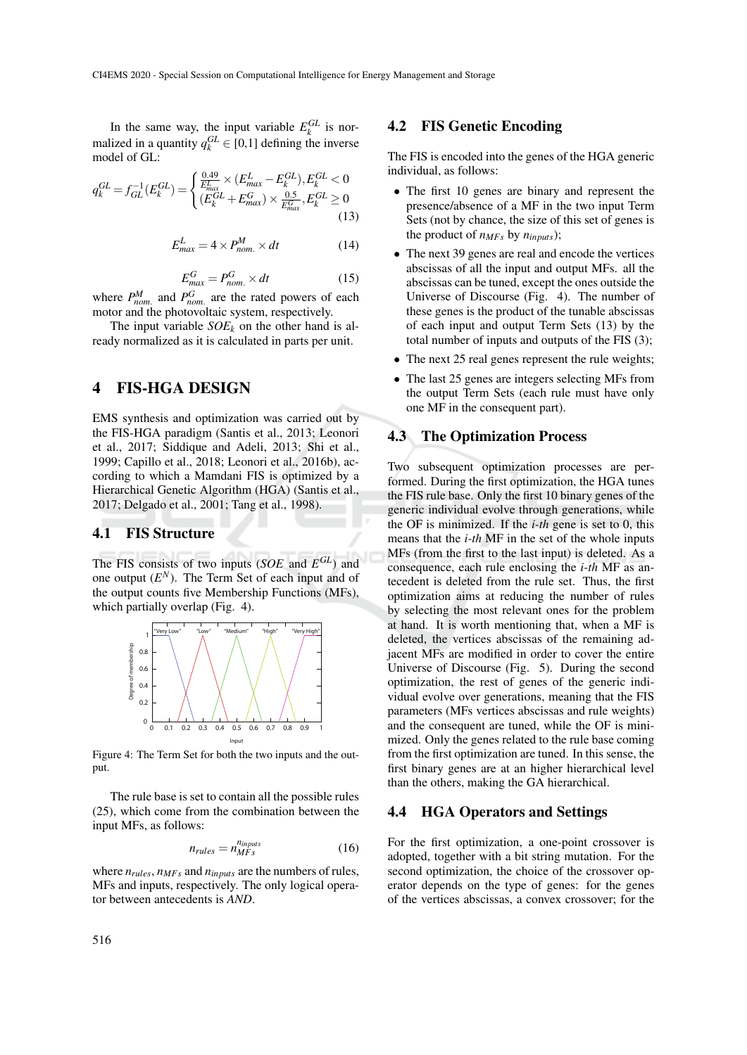In the same way, the input variable  $E_k^{GL}$  is normalized in a quantity  $q_k^{GL} \in [0,1]$  defining the inverse model of GL:

$$
q_k^{GL} = f_{GL}^{-1}(E_k^{GL}) = \begin{cases} \frac{0.49}{E_{max}^L} \times (E_{max}^L - E_k^{GL}), E_k^{GL} < 0\\ (E_k^{GL} + E_{max}^G) \times \frac{0.5}{E_{max}^G}, E_k^{GL} \ge 0\\ \end{cases}
$$
(13)

$$
E_{max}^L = 4 \times P_{nom.}^M \times dt \tag{14}
$$

$$
E_{max}^G = P_{nom.}^G \times dt \tag{15}
$$

where  $P_{nom.}^{M}$  and  $P_{nom.}^{G}$  are the rated powers of each motor and the photovoltaic system, respectively.

The input variable  $SOE_k$  on the other hand is already normalized as it is calculated in parts per unit.

### 4 FIS-HGA DESIGN

EMS synthesis and optimization was carried out by the FIS-HGA paradigm (Santis et al., 2013; Leonori et al., 2017; Siddique and Adeli, 2013; Shi et al., 1999; Capillo et al., 2018; Leonori et al., 2016b), according to which a Mamdani FIS is optimized by a Hierarchical Genetic Algorithm (HGA) (Santis et al., 2017; Delgado et al., 2001; Tang et al., 1998).

#### 4.1 FIS Structure

The FIS consists of two inputs (*SOE* and *E GL*) and one output  $(E^N)$ . The Term Set of each input and of the output counts five Membership Functions (MFs), which partially overlap (Fig. 4).



Figure 4: The Term Set for both the two inputs and the output.

The rule base is set to contain all the possible rules (25), which come from the combination between the input MFs, as follows:

$$
n_{rules} = n_{MFs}^{n_{inputs}} \tag{16}
$$

where  $n_{rules}$ ,  $n_{MFs}$  and  $n_{inputs}$  are the numbers of rules, MFs and inputs, respectively. The only logical operator between antecedents is *AND*.

#### 4.2 FIS Genetic Encoding

The FIS is encoded into the genes of the HGA generic individual, as follows:

- The first 10 genes are binary and represent the presence/absence of a MF in the two input Term Sets (not by chance, the size of this set of genes is the product of  $n_{MFS}$  by  $n_{inouts}$ );
- The next 39 genes are real and encode the vertices abscissas of all the input and output MFs. all the abscissas can be tuned, except the ones outside the Universe of Discourse (Fig. 4). The number of these genes is the product of the tunable abscissas of each input and output Term Sets (13) by the total number of inputs and outputs of the FIS (3);
- The next 25 real genes represent the rule weights;
- The last 25 genes are integers selecting MFs from the output Term Sets (each rule must have only one MF in the consequent part).

#### 4.3 The Optimization Process

Two subsequent optimization processes are performed. During the first optimization, the HGA tunes the FIS rule base. Only the first 10 binary genes of the generic individual evolve through generations, while the OF is minimized. If the *i-th* gene is set to 0, this means that the *i-th* MF in the set of the whole inputs MFs (from the first to the last input) is deleted. As a consequence, each rule enclosing the *i-th* MF as antecedent is deleted from the rule set. Thus, the first optimization aims at reducing the number of rules by selecting the most relevant ones for the problem at hand. It is worth mentioning that, when a MF is deleted, the vertices abscissas of the remaining adjacent MFs are modified in order to cover the entire Universe of Discourse (Fig. 5). During the second optimization, the rest of genes of the generic individual evolve over generations, meaning that the FIS parameters (MFs vertices abscissas and rule weights) and the consequent are tuned, while the OF is minimized. Only the genes related to the rule base coming from the first optimization are tuned. In this sense, the first binary genes are at an higher hierarchical level than the others, making the GA hierarchical.

#### 4.4 HGA Operators and Settings

For the first optimization, a one-point crossover is adopted, together with a bit string mutation. For the second optimization, the choice of the crossover operator depends on the type of genes: for the genes of the vertices abscissas, a convex crossover; for the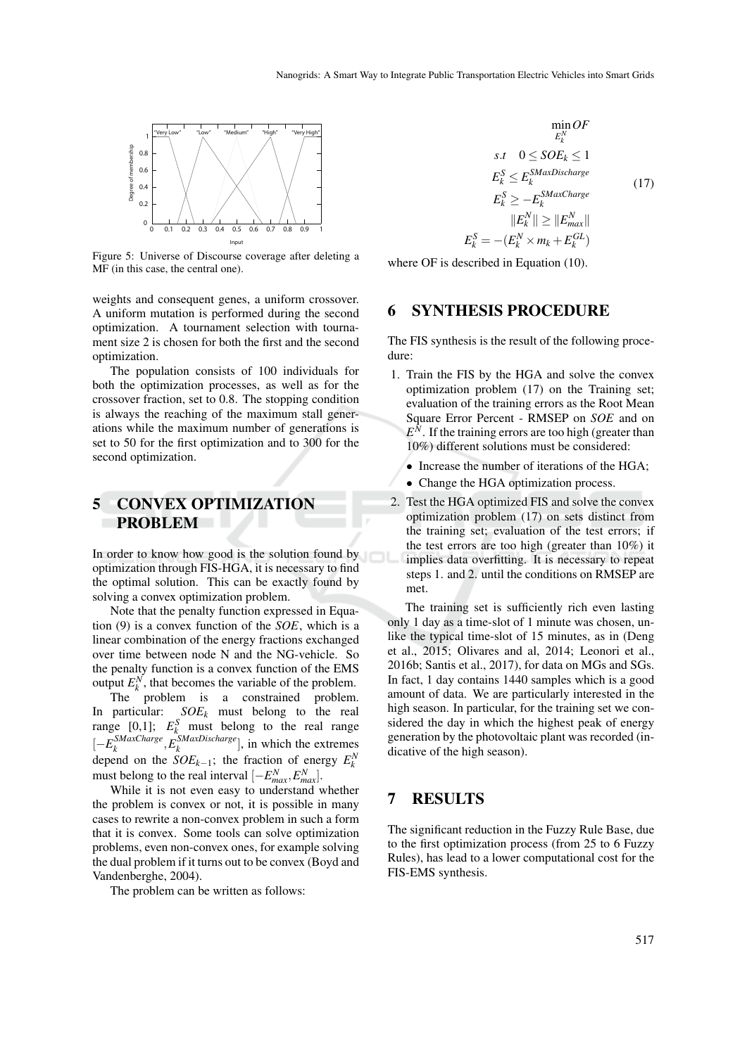

Figure 5: Universe of Discourse coverage after deleting a MF (in this case, the central one).

weights and consequent genes, a uniform crossover. A uniform mutation is performed during the second optimization. A tournament selection with tournament size 2 is chosen for both the first and the second optimization.

The population consists of 100 individuals for both the optimization processes, as well as for the crossover fraction, set to 0.8. The stopping condition is always the reaching of the maximum stall generations while the maximum number of generations is set to 50 for the first optimization and to 300 for the second optimization.

## 5 CONVEX OPTIMIZATION PROBLEM

In order to know how good is the solution found by optimization through FIS-HGA, it is necessary to find the optimal solution. This can be exactly found by solving a convex optimization problem.

Note that the penalty function expressed in Equation (9) is a convex function of the *SOE*, which is a linear combination of the energy fractions exchanged over time between node N and the NG-vehicle. So the penalty function is a convex function of the EMS output  $E_k^N$ , that becomes the variable of the problem.

The problem is a constrained problem. In particular: *SOE<sup>k</sup>* must belong to the real range  $[0,1]$ ;  $E_k^S$  must belong to the real range [−*E SMaxCharge k* ,*E SMaxDischarge*  $\binom{N}{k}$  *k* and  $\binom{N}{k}$ , in which the extremes depend on the *SOE<sub>k−1</sub>*; the fraction of energy  $E_k^N$ must belong to the real interval  $[-E_{max}^N, E_{max}^N]$ .

While it is not even easy to understand whether the problem is convex or not, it is possible in many cases to rewrite a non-convex problem in such a form that it is convex. Some tools can solve optimization problems, even non-convex ones, for example solving the dual problem if it turns out to be convex (Boyd and Vandenberghe, 2004).

The problem can be written as follows:

$$
\min_{E_k^N} OF
$$
\n
$$
s.t \quad 0 \le SOE_k \le 1
$$
\n
$$
E_k^S \le E_k^{SMaxDischarge}
$$
\n
$$
E_k^S \ge -E_k^{SMaxChange}
$$
\n
$$
||E_k^N|| \ge ||E_{max}^N||
$$
\n
$$
E_k^S = -(E_k^N \times m_k + E_k^{GL})
$$
\n(17)

where OF is described in Equation (10).

## 6 SYNTHESIS PROCEDURE

The FIS synthesis is the result of the following procedure:

- 1. Train the FIS by the HGA and solve the convex optimization problem (17) on the Training set; evaluation of the training errors as the Root Mean Square Error Percent - RMSEP on *SOE* and on  $E^N$ . If the training errors are too high (greater than 10%) different solutions must be considered:
	- Increase the number of iterations of the HGA;
	- Change the HGA optimization process.
- 2. Test the HGA optimized FIS and solve the convex optimization problem (17) on sets distinct from the training set; evaluation of the test errors; if the test errors are too high (greater than 10%) it implies data overfitting. It is necessary to repeat steps 1. and 2. until the conditions on RMSEP are met.

The training set is sufficiently rich even lasting only 1 day as a time-slot of 1 minute was chosen, unlike the typical time-slot of 15 minutes, as in (Deng et al., 2015; Olivares and al, 2014; Leonori et al., 2016b; Santis et al., 2017), for data on MGs and SGs. In fact, 1 day contains 1440 samples which is a good amount of data. We are particularly interested in the high season. In particular, for the training set we considered the day in which the highest peak of energy generation by the photovoltaic plant was recorded (indicative of the high season).

### 7 RESULTS

The significant reduction in the Fuzzy Rule Base, due to the first optimization process (from 25 to 6 Fuzzy Rules), has lead to a lower computational cost for the FIS-EMS synthesis.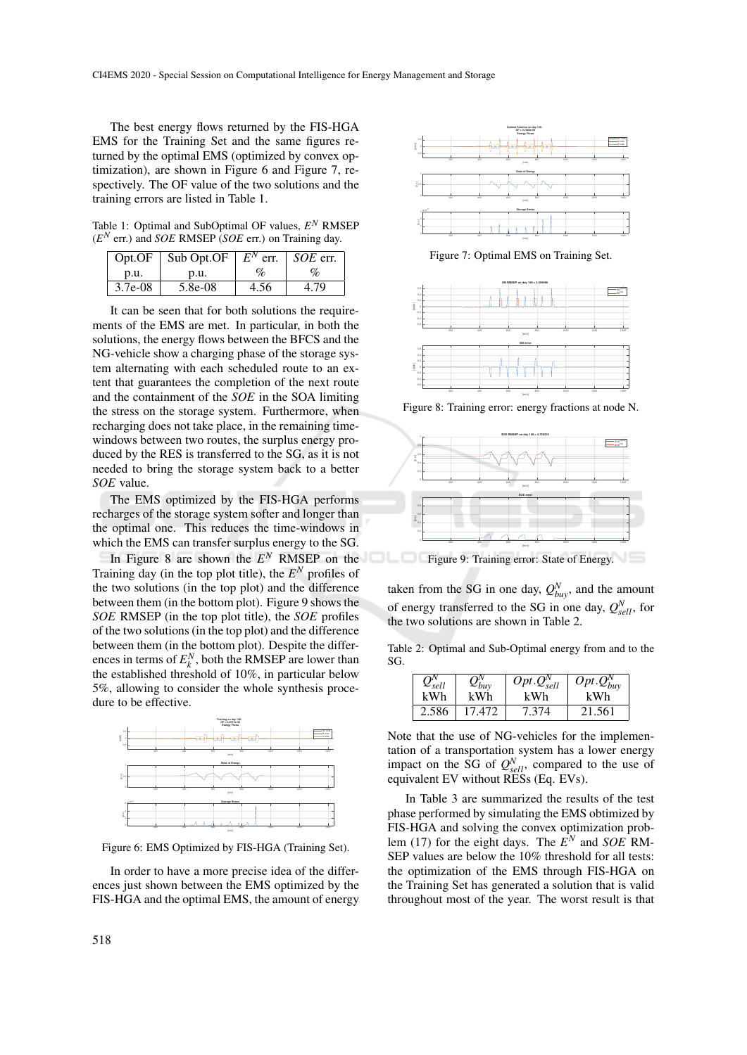The best energy flows returned by the FIS-HGA EMS for the Training Set and the same figures returned by the optimal EMS (optimized by convex optimization), are shown in Figure 6 and Figure 7, respectively. The OF value of the two solutions and the training errors are listed in Table 1.

Table 1: Optimal and SubOptimal OF values,  $E^N$  RMSEP (*E <sup>N</sup>* err.) and *SOE* RMSEP (*SOE* err.) on Training day.

| Opt.OF    | Sub Opt.OF $E^N$ err. |      | $\mid SOE$ err. |
|-----------|-----------------------|------|-----------------|
| p.u.      | p.u.                  | $\%$ | $\%$            |
| $3.7e-08$ | 5.8e-08               | 4.56 | 4.79            |

It can be seen that for both solutions the requirements of the EMS are met. In particular, in both the solutions, the energy flows between the BFCS and the NG-vehicle show a charging phase of the storage system alternating with each scheduled route to an extent that guarantees the completion of the next route and the containment of the *SOE* in the SOA limiting the stress on the storage system. Furthermore, when recharging does not take place, in the remaining timewindows between two routes, the surplus energy produced by the RES is transferred to the SG, as it is not needed to bring the storage system back to a better *SOE* value.

The EMS optimized by the FIS-HGA performs recharges of the storage system softer and longer than the optimal one. This reduces the time-windows in which the EMS can transfer surplus energy to the SG.

In Figure 8 are shown the  $E^N$  RMSEP on the Training day (in the top plot title), the  $E^N$  profiles of the two solutions (in the top plot) and the difference between them (in the bottom plot). Figure 9 shows the *SOE* RMSEP (in the top plot title), the *SOE* profiles of the two solutions (in the top plot) and the difference between them (in the bottom plot). Despite the differences in terms of  $E_k^N$ , both the RMSEP are lower than the established threshold of 10%, in particular below 5%, allowing to consider the whole synthesis procedure to be effective.



Figure 6: EMS Optimized by FIS-HGA (Training Set).

In order to have a more precise idea of the differences just shown between the EMS optimized by the FIS-HGA and the optimal EMS, the amount of energy



Figure 7: Optimal EMS on Training Set.



Figure 8: Training error: energy fractions at node N.



**Figure 9: Training error: State of Energy.** 

taken from the SG in one day,  $Q_{buy}^N$ , and the amount of energy transferred to the SG in one day,  $Q_{\text{sell}}^N$ , for the two solutions are shown in Table 2.

Table 2: Optimal and Sub-Optimal energy from and to the SG.

| $Q_{sell}^{\prime \prime}$ | $Q_{buy}^{\prime\prime}$ | $Opt.Q_{sell}^N$ | $Opt.Q_{buy}^N$ |
|----------------------------|--------------------------|------------------|-----------------|
| kWh                        | kWh                      | kWh              | kWh             |
| 2.586                      | 17.472                   | 7.374            | 21.561          |

Note that the use of NG-vehicles for the implementation of a transportation system has a lower energy impact on the SG of  $Q_{\text{sell}}^N$ , compared to the use of equivalent EV without RESs (Eq. EVs).

In Table 3 are summarized the results of the test phase performed by simulating the EMS obtimized by FIS-HGA and solving the convex optimization problem (17) for the eight days. The  $\overline{E}^N$  and *SOE* RM-SEP values are below the 10% threshold for all tests: the optimization of the EMS through FIS-HGA on the Training Set has generated a solution that is valid throughout most of the year. The worst result is that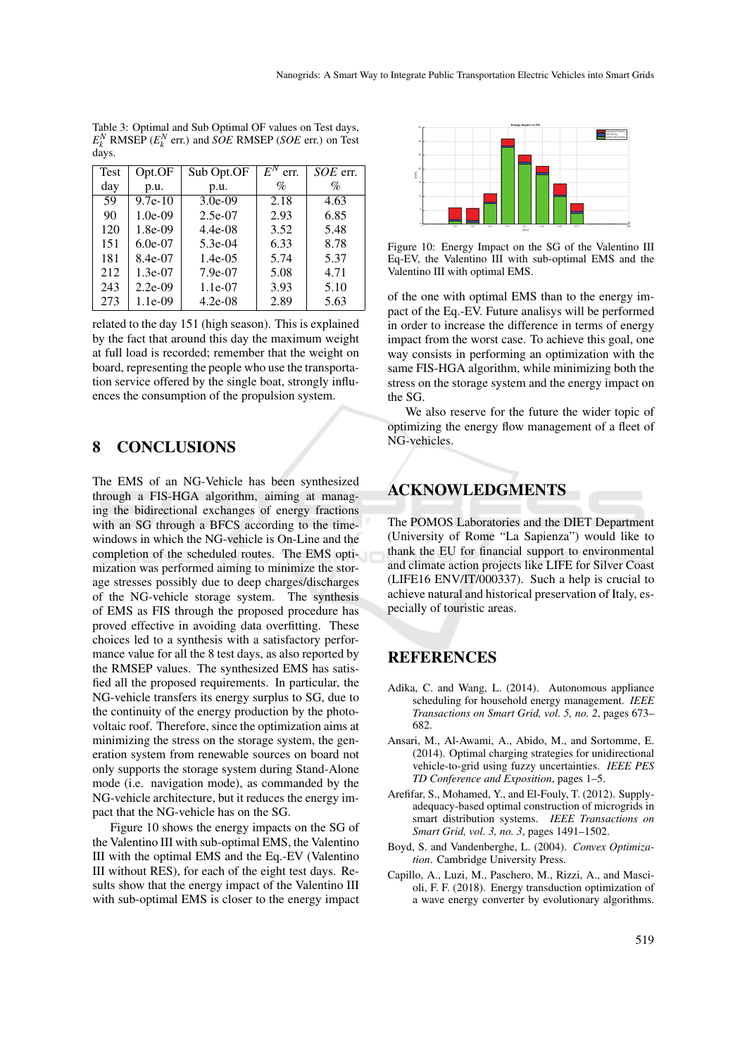| Test | Opt.OF    | Sub Opt.OF | $E^N$ err. | SOE err. |
|------|-----------|------------|------------|----------|
| day  | p.u.      | p.u.       | %          | %        |
| 59   | $9.7e-10$ | $3.0e-09$  | 2.18       | 4.63     |
| 90   | $1.0e-09$ | $2.5e-07$  | 2.93       | 6.85     |
| 120  | 1.8e-09   | $4.4e-08$  | 3.52       | 5.48     |
| 151  | $6.0e-07$ | 5.3e-04    | 6.33       | 8.78     |
| 181  | 8.4e-07   | $1.4e-0.5$ | 5.74       | 5.37     |
| 212  | $1.3e-07$ | 7.9e-07    | 5.08       | 4.71     |
| 243  | $2.2e-09$ | $1.1e-07$  | 3.93       | 5.10     |
| 273  | 1.1e-09   | $4.2e-08$  | 2.89       | 5.63     |

Table 3: Optimal and Sub Optimal OF values on Test days,  $E_k^N$  RMSEP ( $E_k^N$  err.) and *SOE* RMSEP (*SOE* err.) on Test days.

related to the day 151 (high season). This is explained by the fact that around this day the maximum weight at full load is recorded; remember that the weight on board, representing the people who use the transportation service offered by the single boat, strongly influences the consumption of the propulsion system.

## 8 CONCLUSIONS

The EMS of an NG-Vehicle has been synthesized through a FIS-HGA algorithm, aiming at managing the bidirectional exchanges of energy fractions with an SG through a BFCS according to the timewindows in which the NG-vehicle is On-Line and the completion of the scheduled routes. The EMS optimization was performed aiming to minimize the storage stresses possibly due to deep charges/discharges of the NG-vehicle storage system. The synthesis of EMS as FIS through the proposed procedure has proved effective in avoiding data overfitting. These choices led to a synthesis with a satisfactory performance value for all the 8 test days, as also reported by the RMSEP values. The synthesized EMS has satisfied all the proposed requirements. In particular, the NG-vehicle transfers its energy surplus to SG, due to the continuity of the energy production by the photovoltaic roof. Therefore, since the optimization aims at minimizing the stress on the storage system, the generation system from renewable sources on board not only supports the storage system during Stand-Alone mode (i.e. navigation mode), as commanded by the NG-vehicle architecture, but it reduces the energy impact that the NG-vehicle has on the SG.

Figure 10 shows the energy impacts on the SG of the Valentino III with sub-optimal EMS, the Valentino III with the optimal EMS and the Eq.-EV (Valentino III without RES), for each of the eight test days. Results show that the energy impact of the Valentino III with sub-optimal EMS is closer to the energy impact



Figure 10: Energy Impact on the SG of the Valentino III Eq-EV, the Valentino III with sub-optimal EMS and the Valentino III with optimal EMS.

of the one with optimal EMS than to the energy impact of the Eq.-EV. Future analisys will be performed in order to increase the difference in terms of energy impact from the worst case. To achieve this goal, one way consists in performing an optimization with the same FIS-HGA algorithm, while minimizing both the stress on the storage system and the energy impact on the SG.

We also reserve for the future the wider topic of optimizing the energy flow management of a fleet of NG-vehicles.

# ACKNOWLEDGMENTS

The POMOS Laboratories and the DIET Department (University of Rome "La Sapienza") would like to thank the EU for financial support to environmental and climate action projects like LIFE for Silver Coast (LIFE16 ENV/IT/000337). Such a help is crucial to achieve natural and historical preservation of Italy, especially of touristic areas.

## REFERENCES

- Adika, C. and Wang, L. (2014). Autonomous appliance scheduling for household energy management. *IEEE Transactions on Smart Grid, vol. 5, no. 2*, pages 673– 682.
- Ansari, M., Al-Awami, A., Abido, M., and Sortomme, E. (2014). Optimal charging strategies for unidirectional vehicle-to-grid using fuzzy uncertainties. *IEEE PES TD Conference and Exposition*, pages 1–5.
- Arefifar, S., Mohamed, Y., and El-Fouly, T. (2012). Supplyadequacy-based optimal construction of microgrids in smart distribution systems. *IEEE Transactions on Smart Grid, vol. 3, no. 3*, pages 1491–1502.
- Boyd, S. and Vandenberghe, L. (2004). *Convex Optimization*. Cambridge University Press.
- Capillo, A., Luzi, M., Paschero, M., Rizzi, A., and Mascioli, F. F. (2018). Energy transduction optimization of a wave energy converter by evolutionary algorithms.